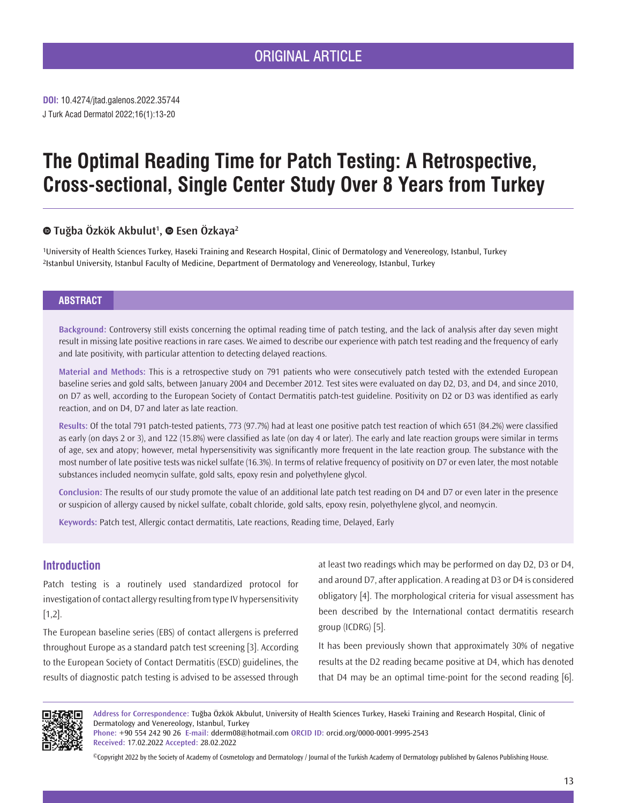J Turk Acad Dermatol 2022;16(1):13-20 **DOI:** 10.4274/jtad.galenos.2022.35744

# **The Optimal Reading Time for Patch Testing: A Retrospective, Cross-sectional, Single Center Study Over 8 Years from Turkey**

# **Tuğba Özkök Akbulut<sup>1</sup> ,Esen Özkaya2**

1University of Health Sciences Turkey, Haseki Training and Research Hospital, Clinic of Dermatology and Venereology, Istanbul, Turkey 2Istanbul University, Istanbul Faculty of Medicine, Department of Dermatology and Venereology, Istanbul, Turkey

## **ABSTRACT**

**Background:** Controversy still exists concerning the optimal reading time of patch testing, and the lack of analysis after day seven might result in missing late positive reactions in rare cases. We aimed to describe our experience with patch test reading and the frequency of early and late positivity, with particular attention to detecting delayed reactions.

**Material and Methods:** This is a retrospective study on 791 patients who were consecutively patch tested with the extended European baseline series and gold salts, between January 2004 and December 2012. Test sites were evaluated on day D2, D3, and D4, and since 2010, on D7 as well, according to the European Society of Contact Dermatitis patch-test guideline. Positivity on D2 or D3 was identified as early reaction, and on D4, D7 and later as late reaction.

**Results:** Of the total 791 patch-tested patients, 773 (97.7%) had at least one positive patch test reaction of which 651 (84.2%) were classified as early (on days 2 or 3), and 122 (15.8%) were classified as late (on day 4 or later). The early and late reaction groups were similar in terms of age, sex and atopy; however, metal hypersensitivity was significantly more frequent in the late reaction group. The substance with the most number of late positive tests was nickel sulfate (16.3%). In terms of relative frequency of positivity on D7 or even later, the most notable substances included neomycin sulfate, gold salts, epoxy resin and polyethylene glycol.

**Conclusion:** The results of our study promote the value of an additional late patch test reading on D4 and D7 or even later in the presence or suspicion of allergy caused by nickel sulfate, cobalt chloride, gold salts, epoxy resin, polyethylene glycol, and neomycin.

**Keywords:** Patch test, Allergic contact dermatitis, Late reactions, Reading time, Delayed, Early

# **Introduction**

Patch testing is a routinely used standardized protocol for investigation of contact allergy resulting from type IV hypersensitivity [1,2].

The European baseline series (EBS) of contact allergens is preferred throughout Europe as a standard patch test screening [3]. According to the European Society of Contact Dermatitis (ESCD) guidelines, the results of diagnostic patch testing is advised to be assessed through at least two readings which may be performed on day D2, D3 or D4, and around D7, after application. A reading at D3 or D4 is considered obligatory [4]. The morphological criteria for visual assessment has been described by the International contact dermatitis research group (ICDRG) [5].

It has been previously shown that approximately 30% of negative results at the D2 reading became positive at D4, which has denoted that D4 may be an optimal time-point for the second reading [6].

П

**Address for Correspondence:** Tuğba Özkök Akbulut, University of Health Sciences Turkey, Haseki Training and Research Hospital, Clinic of Dermatology and Venereology, Istanbul, Turkey **Phone:** +90 554 242 90 26 **E-mail:** dderm08@hotmail.com **ORCID ID:** orcid.org/0000-0001-9995-2543

**Received:** 17.02.2022 **Accepted:** 28.02.2022

©Copyright 2022 by the Society of Academy of Cosmetology and Dermatology / Journal of the Turkish Academy of Dermatology published by Galenos Publishing House.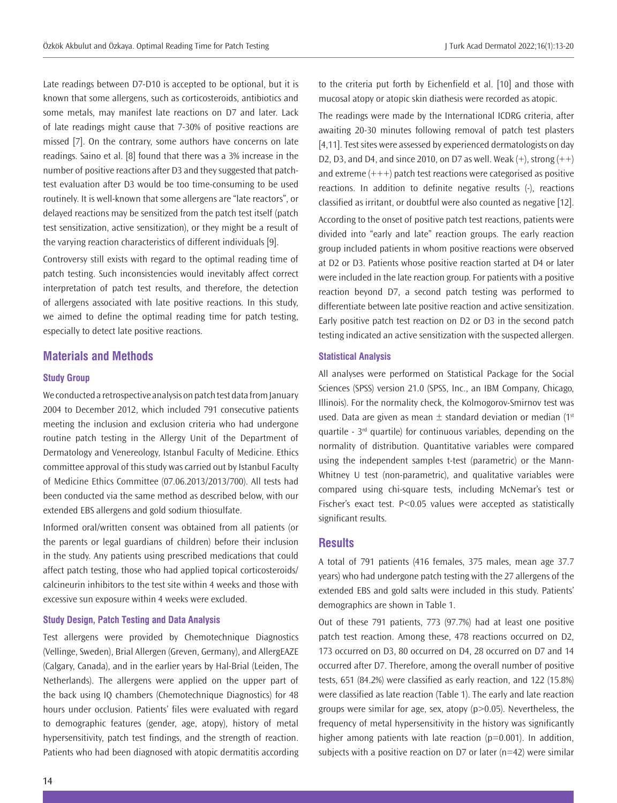Late readings between D7-D10 is accepted to be optional, but it is known that some allergens, such as corticosteroids, antibiotics and some metals, may manifest late reactions on D7 and later. Lack of late readings might cause that 7-30% of positive reactions are missed [7]. On the contrary, some authors have concerns on late readings. Saino et al. [8] found that there was a 3% increase in the number of positive reactions after D3 and they suggested that patchtest evaluation after D3 would be too time-consuming to be used routinely. It is well-known that some allergens are "late reactors", or delayed reactions may be sensitized from the patch test itself (patch test sensitization, active sensitization), or they might be a result of the varying reaction characteristics of different individuals [9].

Controversy still exists with regard to the optimal reading time of patch testing. Such inconsistencies would inevitably affect correct interpretation of patch test results, and therefore, the detection of allergens associated with late positive reactions. In this study, we aimed to define the optimal reading time for patch testing, especially to detect late positive reactions.

# **Materials and Methods**

## **Study Group**

We conducted a retrospective analysis on patch test data from January 2004 to December 2012, which included 791 consecutive patients meeting the inclusion and exclusion criteria who had undergone routine patch testing in the Allergy Unit of the Department of Dermatology and Venereology, Istanbul Faculty of Medicine. Ethics committee approval of this study was carried out by Istanbul Faculty of Medicine Ethics Committee (07.06.2013/2013/700). All tests had been conducted via the same method as described below, with our extended EBS allergens and gold sodium thiosulfate.

Informed oral/written consent was obtained from all patients (or the parents or legal guardians of children) before their inclusion in the study. Any patients using prescribed medications that could affect patch testing, those who had applied topical corticosteroids/ calcineurin inhibitors to the test site within 4 weeks and those with excessive sun exposure within 4 weeks were excluded.

#### **Study Design, Patch Testing and Data Analysis**

Test allergens were provided by Chemotechnique Diagnostics (Vellinge, Sweden), Brial Allergen (Greven, Germany), and AllergEAZE (Calgary, Canada), and in the earlier years by Hal-Brial (Leiden, The Netherlands). The allergens were applied on the upper part of the back using IQ chambers (Chemotechnique Diagnostics) for 48 hours under occlusion. Patients' files were evaluated with regard to demographic features (gender, age, atopy), history of metal hypersensitivity, patch test findings, and the strength of reaction. Patients who had been diagnosed with atopic dermatitis according to the criteria put forth by Eichenfield et al. [10] and those with mucosal atopy or atopic skin diathesis were recorded as atopic.

The readings were made by the International ICDRG criteria, after awaiting 20-30 minutes following removal of patch test plasters [4,11]. Test sites were assessed by experienced dermatologists on day D2, D3, and D4, and since 2010, on D7 as well. Weak  $(+)$ , strong  $(++)$ and extreme  $(++)$  patch test reactions were categorised as positive reactions. In addition to definite negative results (-), reactions classified as irritant, or doubtful were also counted as negative [12]. According to the onset of positive patch test reactions, patients were divided into "early and late" reaction groups. The early reaction group included patients in whom positive reactions were observed at D2 or D3. Patients whose positive reaction started at D4 or later were included in the late reaction group. For patients with a positive reaction beyond D7, a second patch testing was performed to differentiate between late positive reaction and active sensitization. Early positive patch test reaction on D2 or D3 in the second patch testing indicated an active sensitization with the suspected allergen.

## **Statistical Analysis**

All analyses were performed on Statistical Package for the Social Sciences (SPSS) version 21.0 (SPSS, Inc., an IBM Company, Chicago, Illinois). For the normality check, the Kolmogorov-Smirnov test was used. Data are given as mean  $\pm$  standard deviation or median (1st quartile -  $3<sup>rd</sup>$  quartile) for continuous variables, depending on the normality of distribution. Quantitative variables were compared using the independent samples t-test (parametric) or the Mann-Whitney U test (non-parametric), and qualitative variables were compared using chi-square tests, including McNemar's test or Fischer's exact test. P<0.05 values were accepted as statistically significant results.

## **Results**

A total of 791 patients (416 females, 375 males, mean age 37.7 years) who had undergone patch testing with the 27 allergens of the extended EBS and gold salts were included in this study. Patients' demographics are shown in Table 1.

Out of these 791 patients, 773 (97.7%) had at least one positive patch test reaction. Among these, 478 reactions occurred on D2, 173 occurred on D3, 80 occurred on D4, 28 occurred on D7 and 14 occurred after D7. Therefore, among the overall number of positive tests, 651 (84.2%) were classified as early reaction, and 122 (15.8%) were classified as late reaction (Table 1). The early and late reaction groups were similar for age, sex, atopy  $(p>0.05)$ . Nevertheless, the frequency of metal hypersensitivity in the history was significantly higher among patients with late reaction ( $p=0.001$ ). In addition, subjects with a positive reaction on D7 or later ( $n=42$ ) were similar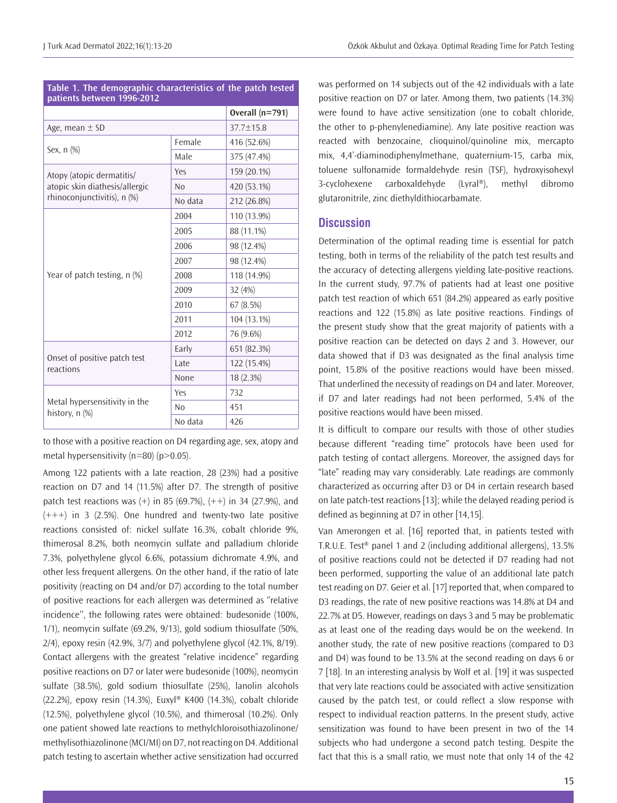| patients between 1996-2012                                    |                   |             |  |  |  |  |  |  |
|---------------------------------------------------------------|-------------------|-------------|--|--|--|--|--|--|
|                                                               | Overall $(n=791)$ |             |  |  |  |  |  |  |
| Age, mean $\pm$ SD                                            | $37.7 + 15.8$     |             |  |  |  |  |  |  |
|                                                               | Female            | 416 (52.6%) |  |  |  |  |  |  |
| Sex, n (%)                                                    | Male              | 375 (47.4%) |  |  |  |  |  |  |
| Atopy (atopic dermatitis/                                     | Yes               | 159 (20.1%) |  |  |  |  |  |  |
| atopic skin diathesis/allergic<br>rhinoconjunctivitis), n (%) | No                | 420 (53.1%) |  |  |  |  |  |  |
|                                                               | No data           | 212 (26.8%) |  |  |  |  |  |  |
|                                                               | 2004              | 110 (13.9%) |  |  |  |  |  |  |
|                                                               | 2005              | 88 (11.1%)  |  |  |  |  |  |  |
|                                                               | 2006              | 98 (12.4%)  |  |  |  |  |  |  |
|                                                               | 2007              | 98 (12.4%)  |  |  |  |  |  |  |
| Year of patch testing, n (%)                                  | 2008              | 118 (14.9%) |  |  |  |  |  |  |
|                                                               | 2009              | 32 (4%)     |  |  |  |  |  |  |
|                                                               | 2010              | 67 (8.5%)   |  |  |  |  |  |  |
|                                                               | 2011              | 104 (13.1%) |  |  |  |  |  |  |
|                                                               | 2012              | 76 (9.6%)   |  |  |  |  |  |  |
|                                                               | Early             | 651 (82.3%) |  |  |  |  |  |  |
| Onset of positive patch test<br>reactions                     | Late              | 122 (15.4%) |  |  |  |  |  |  |
|                                                               | None              | 18 (2.3%)   |  |  |  |  |  |  |
|                                                               | Yes               | 732         |  |  |  |  |  |  |
| Metal hypersensitivity in the<br>history, n (%)               | N <sub>0</sub>    | 451         |  |  |  |  |  |  |
|                                                               | No data           | 426         |  |  |  |  |  |  |

**Table 1. The demographic characteristics of the patch tested** 

to those with a positive reaction on D4 regarding age, sex, atopy and metal hypersensitivity (n=80) (p>0.05).

Among 122 patients with a late reaction, 28 (23%) had a positive reaction on D7 and 14 (11.5%) after D7. The strength of positive patch test reactions was  $(+)$  in 85 (69.7%),  $(++)$  in 34 (27.9%), and  $(+++)$  in 3 (2.5%). One hundred and twenty-two late positive reactions consisted of: nickel sulfate 16.3%, cobalt chloride 9%, thimerosal 8.2%, both neomycin sulfate and palladium chloride 7.3%, polyethylene glycol 6.6%, potassium dichromate 4.9%, and other less frequent allergens. On the other hand, if the ratio of late positivity (reacting on D4 and/or D7) according to the total number of positive reactions for each allergen was determined as ''relative incidence'', the following rates were obtained: budesonide (100%, 1/1), neomycin sulfate (69.2%, 9/13), gold sodium thiosulfate (50%, 2/4), epoxy resin (42.9%, 3/7) and polyethylene glycol (42.1%, 8/19). Contact allergens with the greatest "relative incidence" regarding positive reactions on D7 or later were budesonide (100%), neomycin sulfate (38.5%), gold sodium thiosulfate (25%), lanolin alcohols (22.2%), epoxy resin (14.3%), Euxyl® K400 (14.3%), cobalt chloride (12.5%), polyethylene glycol (10.5%), and thimerosal (10.2%). Only one patient showed late reactions to methylchloroisothiazolinone/ methylisothiazolinone (MCI/MI) on D7, not reacting on D4. Additional patch testing to ascertain whether active sensitization had occurred

was performed on 14 subjects out of the 42 individuals with a late positive reaction on D7 or later. Among them, two patients (14.3%) were found to have active sensitization (one to cobalt chloride, the other to p-phenylenediamine). Any late positive reaction was reacted with benzocaine, clioquinol/quinoline mix, mercapto mix, 4,4'-diaminodiphenylmethane, quaternium-15, carba mix, toluene sulfonamide formaldehyde resin (TSF), hydroxyisohexyl 3-cyclohexene carboxaldehyde (Lyral®), methyl dibromo glutaronitrile, zinc diethyldithiocarbamate.

# **Discussion**

Determination of the optimal reading time is essential for patch testing, both in terms of the reliability of the patch test results and the accuracy of detecting allergens yielding late-positive reactions. In the current study, 97.7% of patients had at least one positive patch test reaction of which 651 (84.2%) appeared as early positive reactions and 122 (15.8%) as late positive reactions. Findings of the present study show that the great majority of patients with a positive reaction can be detected on days 2 and 3. However, our data showed that if D3 was designated as the final analysis time point, 15.8% of the positive reactions would have been missed. That underlined the necessity of readings on D4 and later. Moreover, if D7 and later readings had not been performed, 5.4% of the positive reactions would have been missed.

It is difficult to compare our results with those of other studies because different "reading time" protocols have been used for patch testing of contact allergens. Moreover, the assigned days for "late" reading may vary considerably. Late readings are commonly characterized as occurring after D3 or D4 in certain research based on late patch-test reactions [13]; while the delayed reading period is defined as beginning at D7 in other [14,15].

Van Amerongen et al. [16] reported that, in patients tested with T.R.U.E. Test® panel 1 and 2 (including additional allergens), 13.5% of positive reactions could not be detected if D7 reading had not been performed, supporting the value of an additional late patch test reading on D7. Geier et al. [17] reported that, when compared to D3 readings, the rate of new positive reactions was 14.8% at D4 and 22.7% at D5. However, readings on days 3 and 5 may be problematic as at least one of the reading days would be on the weekend. In another study, the rate of new positive reactions (compared to D3 and D4) was found to be 13.5% at the second reading on days 6 or 7 [18]. In an interesting analysis by Wolf et al. [19] it was suspected that very late reactions could be associated with active sensitization caused by the patch test, or could reflect a slow response with respect to individual reaction patterns. In the present study, active sensitization was found to have been present in two of the 14 subjects who had undergone a second patch testing. Despite the fact that this is a small ratio, we must note that only 14 of the 42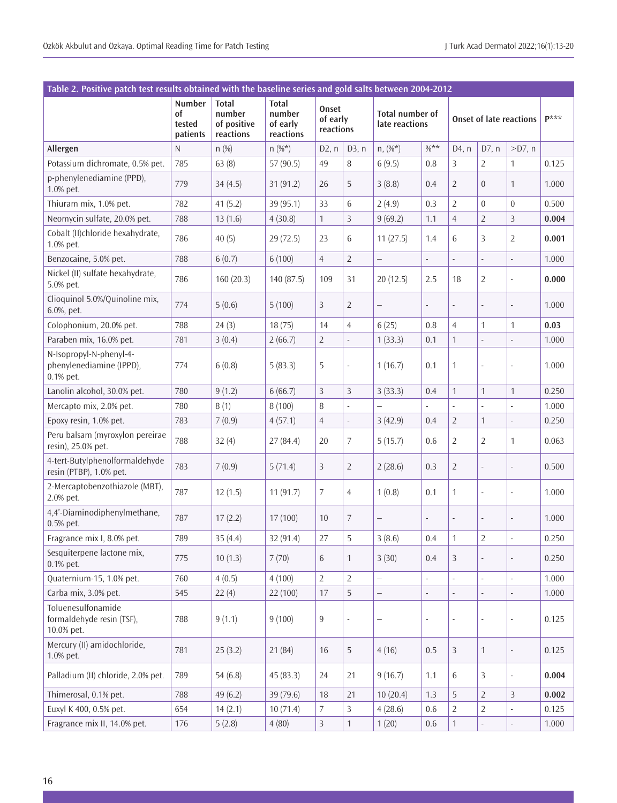| Table 2. Positive patch test results obtained with the baseline series and gold salts between 2004-2012 |                                    |                                                    |                                                 |                                |                |                                                                            |                          |                          |                  |                          |       |
|---------------------------------------------------------------------------------------------------------|------------------------------------|----------------------------------------------------|-------------------------------------------------|--------------------------------|----------------|----------------------------------------------------------------------------|--------------------------|--------------------------|------------------|--------------------------|-------|
|                                                                                                         | Number<br>of<br>tested<br>patients | <b>Total</b><br>number<br>of positive<br>reactions | <b>Total</b><br>number<br>of early<br>reactions | Onset<br>of early<br>reactions |                | <b>Total number of</b><br><b>Onset of late reactions</b><br>late reactions |                          |                          | $\mathbf{p}$ *** |                          |       |
| Allergen                                                                                                | N                                  | n(%)                                               | $n (\%^*)$                                      | D2, n                          | D3, n          | $n, (\%^*)$                                                                | $%$ **                   | D4, n                    | D7, n            | $>$ D7, n                |       |
| Potassium dichromate, 0.5% pet.                                                                         | 785                                | 63(8)                                              | 57 (90.5)                                       | 49                             | 8              | 6(9.5)                                                                     | 0.8                      | 3                        | $\overline{2}$   | 1                        | 0.125 |
| p-phenylenediamine (PPD),<br>1.0% pet.                                                                  | 779                                | 34(4.5)                                            | 31(91.2)                                        | 26                             | 5              | 3(8.8)                                                                     | 0.4                      | $\overline{2}$           | $\overline{0}$   | 1                        | 1.000 |
| Thiuram mix, 1.0% pet.                                                                                  | 782                                | 41(5.2)                                            | 39(95.1)                                        | 33                             | 6              | 2(4.9)                                                                     | 0.3                      | $\overline{2}$           | $\overline{0}$   | $\boldsymbol{0}$         | 0.500 |
| Neomycin sulfate, 20.0% pet.                                                                            | 788                                | 13(1.6)                                            | 4(30.8)                                         | $\mathbf{1}$                   | 3              | 9(69.2)                                                                    | 1.1                      | $\overline{4}$           | $\overline{2}$   | 3                        | 0.004 |
| Cobalt (II)chloride hexahydrate,<br>1.0% pet.                                                           | 786                                | 40(5)                                              | 29 (72.5)                                       | 23                             | 6              | 11(27.5)                                                                   | 1.4                      | 6                        | 3                | $\overline{2}$           | 0.001 |
| Benzocaine, 5.0% pet.                                                                                   | 788                                | 6(0.7)                                             | 6(100)                                          | $\overline{4}$                 | $\overline{2}$ | $\qquad \qquad -$                                                          | $\mathbb{Z}^2$           | $\blacksquare$           | ÷,               | $\blacksquare$           | 1.000 |
| Nickel (II) sulfate hexahydrate,<br>5.0% pet.                                                           | 786                                | 160(20.3)                                          | 140 (87.5)                                      | 109                            | 31             | 20(12.5)                                                                   | 2.5                      | 18                       | 2                | ä,                       | 0.000 |
| Clioquinol 5.0%/Quinoline mix,<br>6.0%, pet.                                                            | 774                                | 5(0.6)                                             | 5(100)                                          | 3                              | $\overline{2}$ | $\qquad \qquad -$                                                          |                          | $\overline{\phantom{a}}$ |                  |                          | 1.000 |
| Colophonium, 20.0% pet.                                                                                 | 788                                | 24(3)                                              | 18(75)                                          | 14                             | $\overline{4}$ | 6(25)                                                                      | 0.8                      | $\overline{4}$           | 1                | 1                        | 0.03  |
| Paraben mix, 16.0% pet.                                                                                 | 781                                | 3(0.4)                                             | 2(66.7)                                         | $\overline{2}$                 | $\Box$         | 1(33.3)                                                                    | 0.1                      | $\mathbf{1}$             | $\frac{1}{2}$    | ÷,                       | 1.000 |
| N-Isopropyl-N-phenyl-4-<br>phenylenediamine (IPPD),<br>0.1% pet.                                        | 774                                | 6(0.8)                                             | 5(83.3)                                         | 5                              | ÷,             | 1(16.7)                                                                    | 0.1                      | $\mathbf{1}$             | ÷,               | ä,                       | 1.000 |
| Lanolin alcohol, 30.0% pet.                                                                             | 780                                | 9(1.2)                                             | 6(66.7)                                         | 3                              | 3              | 3(33.3)                                                                    | 0.4                      | $\mathbf{1}$             | $\mathbf{1}$     | 1                        | 0.250 |
| Mercapto mix, 2.0% pet.                                                                                 | 780                                | 8(1)                                               | 8(100)                                          | 8                              | $\omega$       | $\qquad \qquad -$                                                          | ä,                       | $\bar{a}$                | L.               | $\omega$                 | 1.000 |
| Epoxy resin, 1.0% pet.                                                                                  | 783                                | 7(0.9)                                             | 4(57.1)                                         | $\overline{4}$                 | $\Box$         | 3(42.9)                                                                    | 0.4                      | $\overline{2}$           | $\mathbf{1}$     | ä,                       | 0.250 |
| Peru balsam (myroxylon pereirae<br>resin), 25.0% pet.                                                   | 788                                | 32(4)                                              | 27(84.4)                                        | 20                             | 7              | 5(15.7)                                                                    | 0.6                      | $\overline{2}$           | 2                | 1                        | 0.063 |
| 4-tert-Butylphenolformaldehyde<br>resin (PTBP), 1.0% pet.                                               | 783                                | 7(0.9)                                             | 5(71.4)                                         | 3                              | $\overline{2}$ | 2(28.6)                                                                    | 0.3                      | $\overline{2}$           | $\blacksquare$   | ÷,                       | 0.500 |
| 2-Mercaptobenzothiazole (MBT),<br>2.0% pet.                                                             | 787                                | 12(1.5)                                            | 11(91.7)                                        | 7                              | 4              | 1(0.8)                                                                     | 0.1                      | $\mathbf{1}$             | ÷,               | ÷,                       | 1.000 |
| 4,4'-Diaminodiphenylmethane,<br>0.5% pet.                                                               | 787                                | 17(2.2)                                            | 17(100)                                         | 10                             | 7              | $\overline{\phantom{0}}$                                                   | $\overline{\phantom{0}}$ | $\overline{\phantom{a}}$ | $\overline{a}$   |                          | 1.000 |
| Fragrance mix I, 8.0% pet.                                                                              | 789                                | 35 (4.4)                                           | 32 (91.4)                                       | 27                             | 5              | 3(8.6)                                                                     | 0.4                      | 1                        | 2                | $\overline{\phantom{a}}$ | 0.250 |
| Sesquiterpene lactone mix,<br>0.1% pet.                                                                 | 775                                | 10(1.3)                                            | 7(70)                                           | 6                              | $\mathbf{1}$   | 3(30)                                                                      | 0.4                      | 3                        |                  |                          | 0.250 |
| Quaternium-15, 1.0% pet.                                                                                | 760                                | 4(0.5)                                             | 4(100)                                          | $\overline{2}$                 | $\overline{2}$ | $\qquad \qquad -$                                                          |                          |                          | ÷,               |                          | 1.000 |
| Carba mix, 3.0% pet.                                                                                    | 545                                | 22(4)                                              | 22 (100)                                        | 17                             | 5              | $\overline{\phantom{m}}$                                                   | ÷,                       | $\blacksquare$           | ÷,               | $\overline{\phantom{a}}$ | 1.000 |
| Toluenesulfonamide<br>formaldehyde resin (TSF),<br>10.0% pet.                                           | 788                                | 9(1.1)                                             | 9(100)                                          | 9                              | ÷,             | $\overline{\phantom{0}}$                                                   | ä,                       | $\Box$                   | $\Box$           | $\overline{\phantom{a}}$ | 0.125 |
| Mercury (II) amidochloride,<br>1.0% pet.                                                                | 781                                | 25(3.2)                                            | 21(84)                                          | 16                             | 5              | 4(16)                                                                      | 0.5                      | $\mathfrak{Z}$           | $\mathbf{1}$     | $\overline{\phantom{a}}$ | 0.125 |
| Palladium (II) chloride, 2.0% pet.                                                                      | 789                                | 54(6.8)                                            | 45(83.3)                                        | 24                             | 21             | 9(16.7)                                                                    | 1.1                      | 6                        | 3                | $\overline{\phantom{a}}$ | 0.004 |
| Thimerosal, 0.1% pet.                                                                                   | 788                                | 49(6.2)                                            | 39 (79.6)                                       | 18                             | 21             | 10(20.4)                                                                   | 1.3                      | 5                        | $\overline{2}$   | 3                        | 0.002 |
| Euxyl K 400, 0.5% pet.                                                                                  | 654                                | 14(2.1)                                            | 10(71.4)                                        | 7                              | 3              | 4(28.6)                                                                    | 0.6                      | $\overline{2}$           | 2                | $\overline{\phantom{a}}$ | 0.125 |
| Fragrance mix II, 14.0% pet.                                                                            | 176                                | 5(2.8)                                             | 4(80)                                           | 3                              | $\mathbf{1}$   | 1(20)                                                                      | $0.6\,$                  | $\mathbf{1}$             |                  |                          | 1.000 |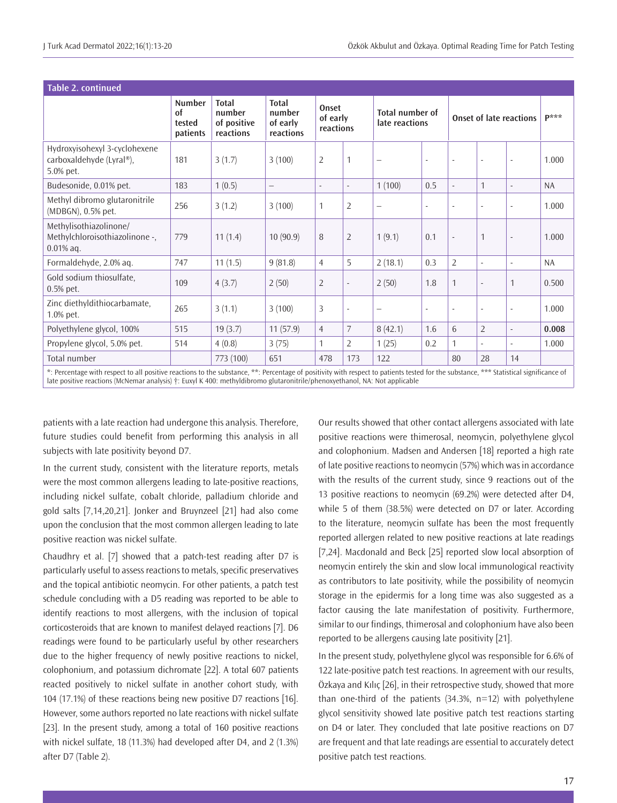| <b>Table 2. continued</b>                                                                                                                                                              |                                                  |                                                    |                                                 |                                |                |                                          |        |                                |                          |                          |           |
|----------------------------------------------------------------------------------------------------------------------------------------------------------------------------------------|--------------------------------------------------|----------------------------------------------------|-------------------------------------------------|--------------------------------|----------------|------------------------------------------|--------|--------------------------------|--------------------------|--------------------------|-----------|
|                                                                                                                                                                                        | <b>Number</b><br><b>of</b><br>tested<br>patients | <b>Total</b><br>number<br>of positive<br>reactions | <b>Total</b><br>number<br>of early<br>reactions | Onset<br>of early<br>reactions |                | <b>Total number of</b><br>late reactions |        | <b>Onset of late reactions</b> |                          |                          | $P^{***}$ |
| Hydroxyisohexyl 3-cyclohexene<br>carboxaldehyde (Lyral®),<br>5.0% pet.                                                                                                                 | 181                                              | 3(1.7)                                             | 3(100)                                          | $\overline{2}$                 |                | $\qquad \qquad -$                        | $\sim$ | $\overline{\phantom{a}}$       | $\blacksquare$           | $\sim$                   | 1.000     |
| Budesonide, 0.01% pet.                                                                                                                                                                 | 183                                              | 1(0.5)                                             | —                                               | $\overline{\phantom{a}}$       | $\blacksquare$ | 1(100)                                   | 0.5    | $\overline{\phantom{a}}$       | $\mathbf{1}$             | $\overline{\phantom{a}}$ | <b>NA</b> |
| Methyl dibromo glutaronitrile<br>(MDBGN), 0.5% pet.                                                                                                                                    | 256                                              | 3(1.2)                                             | 3(100)                                          | 1                              | 2              | $\qquad \qquad -$                        | $\sim$ | $\sim$                         | $\overline{\phantom{a}}$ | $\sim$                   | 1.000     |
| Methylisothiazolinone/<br>Methylchloroisothiazolinone -,<br>$0.01\%$ aq.                                                                                                               | 779                                              | 11(1.4)                                            | 10(90.9)                                        | 8                              | $\overline{2}$ | 1(9.1)                                   | 0.1    | $\sim$                         | $\mathbf{1}$             | $\sim$                   | 1.000     |
| Formaldehyde, 2.0% aq.                                                                                                                                                                 | 747                                              | 11(1.5)                                            | 9(81.8)                                         | $\overline{4}$                 | 5              | 2(18.1)                                  | 0.3    | $\overline{2}$                 | $\overline{\phantom{a}}$ | $\overline{\phantom{a}}$ | <b>NA</b> |
| Gold sodium thiosulfate,<br>$0.5%$ pet.                                                                                                                                                | 109                                              | 4(3.7)                                             | 2(50)                                           | $\overline{2}$                 |                | 2(50)                                    | 1.8    | 1                              | $\overline{\phantom{a}}$ | $\mathbf 1$              | 0.500     |
| Zinc diethyldithiocarbamate,<br>1.0% pet.                                                                                                                                              | 265                                              | 3(1.1)                                             | 3(100)                                          | 3                              |                |                                          | $\sim$ | $\sim$                         | $\overline{\phantom{a}}$ | $\sim$                   | 1.000     |
| Polyethylene glycol, 100%                                                                                                                                                              | 515                                              | 19(3.7)                                            | 11(57.9)                                        | $\overline{4}$                 | 7              | 8(42.1)                                  | 1.6    | 6                              | $\overline{2}$           | $\overline{\phantom{a}}$ | 0.008     |
| Propylene glycol, 5.0% pet.                                                                                                                                                            | 514                                              | 4(0.8)                                             | 3(75)                                           | 1                              | 2              | 1(25)                                    | 0.2    | 1                              | $\overline{\phantom{a}}$ | $\sim$                   | 1.000     |
| Total number                                                                                                                                                                           |                                                  | 773 (100)                                          | 651                                             | 478                            | 173            | 122                                      |        | 80                             | 28                       | 14                       |           |
| *: Percentage with respect to all positive reactions to the substance, **: Percentage of positivity with respect to patients tested for the substance, *** Statistical significance of |                                                  |                                                    |                                                 |                                |                |                                          |        |                                |                          |                          |           |

late positive reactions (McNemar analysis) †: Euxyl K 400: methyldibromo glutaronitrile/phenoxyethanol, NA: Not applicable

patients with a late reaction had undergone this analysis. Therefore, future studies could benefit from performing this analysis in all subjects with late positivity beyond D7.

In the current study, consistent with the literature reports, metals were the most common allergens leading to late-positive reactions, including nickel sulfate, cobalt chloride, palladium chloride and gold salts [7,14,20,21]. Jonker and Bruynzeel [21] had also come upon the conclusion that the most common allergen leading to late positive reaction was nickel sulfate.

Chaudhry et al. [7] showed that a patch-test reading after D7 is particularly useful to assess reactions to metals, specific preservatives and the topical antibiotic neomycin. For other patients, a patch test schedule concluding with a D5 reading was reported to be able to identify reactions to most allergens, with the inclusion of topical corticosteroids that are known to manifest delayed reactions [7]. D6 readings were found to be particularly useful by other researchers due to the higher frequency of newly positive reactions to nickel, colophonium, and potassium dichromate [22]. A total 607 patients reacted positively to nickel sulfate in another cohort study, with 104 (17.1%) of these reactions being new positive D7 reactions [16]. However, some authors reported no late reactions with nickel sulfate [23]. In the present study, among a total of 160 positive reactions with nickel sulfate, 18 (11.3%) had developed after D4, and 2 (1.3%) after D7 (Table 2).

Our results showed that other contact allergens associated with late positive reactions were thimerosal, neomycin, polyethylene glycol and colophonium. Madsen and Andersen [18] reported a high rate of late positive reactions to neomycin (57%) which was in accordance with the results of the current study, since 9 reactions out of the 13 positive reactions to neomycin (69.2%) were detected after D4, while 5 of them (38.5%) were detected on D7 or later. According to the literature, neomycin sulfate has been the most frequently reported allergen related to new positive reactions at late readings [7,24]. Macdonald and Beck [25] reported slow local absorption of neomycin entirely the skin and slow local immunological reactivity as contributors to late positivity, while the possibility of neomycin storage in the epidermis for a long time was also suggested as a factor causing the late manifestation of positivity. Furthermore, similar to our findings, thimerosal and colophonium have also been reported to be allergens causing late positivity [21].

In the present study, polyethylene glycol was responsible for 6.6% of 122 late-positive patch test reactions. In agreement with our results, Özkaya and Kılıç [26], in their retrospective study, showed that more than one-third of the patients (34.3%, n=12) with polyethylene glycol sensitivity showed late positive patch test reactions starting on D4 or later. They concluded that late positive reactions on D7 are frequent and that late readings are essential to accurately detect positive patch test reactions.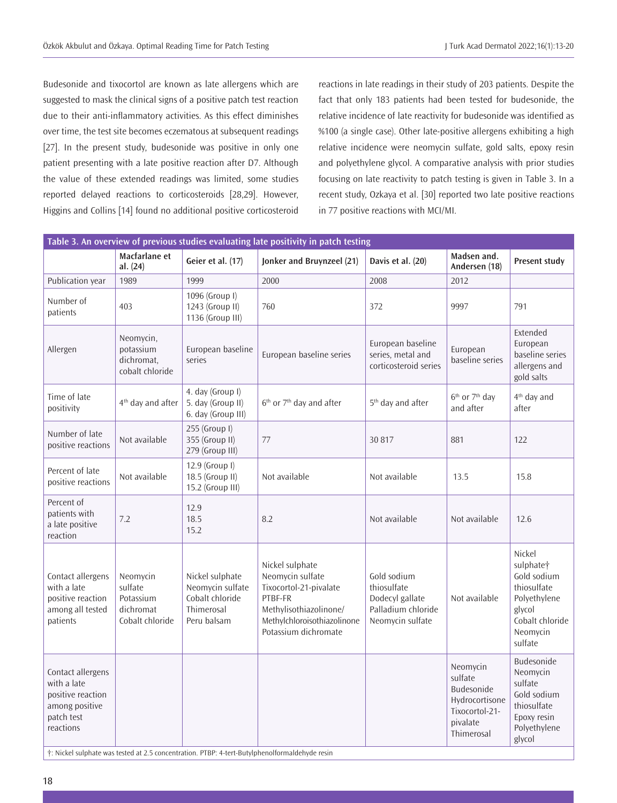Budesonide and tixocortol are known as late allergens which are suggested to mask the clinical signs of a positive patch test reaction due to their anti-inflammatory activities. As this effect diminishes over time, the test site becomes eczematous at subsequent readings [27]. In the present study, budesonide was positive in only one patient presenting with a late positive reaction after D7. Although the value of these extended readings was limited, some studies reported delayed reactions to corticosteroids [28,29]. However, Higgins and Collins [14] found no additional positive corticosteroid

reactions in late readings in their study of 203 patients. Despite the fact that only 183 patients had been tested for budesonide, the relative incidence of late reactivity for budesonide was identified as %100 (a single case). Other late-positive allergens exhibiting a high relative incidence were neomycin sulfate, gold salts, epoxy resin and polyethylene glycol. A comparative analysis with prior studies focusing on late reactivity to patch testing is given in Table 3. In a recent study, Ozkaya et al. [30] reported two late positive reactions in 77 positive reactions with MCI/MI.

| Table 3. An overview of previous studies evaluating late positivity in patch testing               |                                                                  |                                                                                     |                                                                                                                                                           |                                                                                         |                                                                                                 |                                                                                                                                   |  |  |  |
|----------------------------------------------------------------------------------------------------|------------------------------------------------------------------|-------------------------------------------------------------------------------------|-----------------------------------------------------------------------------------------------------------------------------------------------------------|-----------------------------------------------------------------------------------------|-------------------------------------------------------------------------------------------------|-----------------------------------------------------------------------------------------------------------------------------------|--|--|--|
|                                                                                                    | Macfarlane et<br>al. (24)                                        | Geier et al. (17)                                                                   | Jonker and Bruynzeel (21)                                                                                                                                 | Davis et al. (20)                                                                       | Madsen and.<br>Andersen (18)                                                                    | <b>Present study</b>                                                                                                              |  |  |  |
| Publication year                                                                                   | 1989                                                             | 1999                                                                                | 2000                                                                                                                                                      | 2008                                                                                    | 2012                                                                                            |                                                                                                                                   |  |  |  |
| Number of<br>patients                                                                              | 403                                                              | 1096 (Group I)<br>1243 (Group II)<br>1136 (Group III)                               | 760                                                                                                                                                       | 372                                                                                     | 9997                                                                                            | 791                                                                                                                               |  |  |  |
| Allergen                                                                                           | Neomycin,<br>potassium<br>dichromat,<br>cobalt chloride          | European baseline<br>series                                                         | European baseline series                                                                                                                                  | European baseline<br>series, metal and<br>corticosteroid series                         | European<br>baseline series                                                                     | Extended<br>European<br>baseline series<br>allergens and<br>gold salts                                                            |  |  |  |
| Time of late<br>positivity                                                                         | 4 <sup>th</sup> day and after                                    | 4. day (Group I)<br>5. day (Group II)<br>6. day (Group III)                         | 6 <sup>th</sup> or 7 <sup>th</sup> day and after                                                                                                          | 5 <sup>th</sup> day and after                                                           | 6 <sup>th</sup> or 7 <sup>th</sup> day<br>and after                                             | 4 <sup>th</sup> day and<br>after                                                                                                  |  |  |  |
| Number of late<br>positive reactions                                                               | Not available                                                    | 255 (Group I)<br>355 (Group II)<br>279 (Group III)                                  | 77                                                                                                                                                        | 30 817                                                                                  | 881                                                                                             | 122                                                                                                                               |  |  |  |
| Percent of late<br>positive reactions                                                              | Not available                                                    | 12.9 (Group I)<br>18.5 (Group II)<br>15.2 (Group III)                               | Not available                                                                                                                                             | Not available                                                                           | 13.5                                                                                            | 15.8                                                                                                                              |  |  |  |
| Percent of<br>patients with<br>a late positive<br>reaction                                         | 7.2                                                              | 12.9<br>18.5<br>15.2                                                                | 8.2                                                                                                                                                       | Not available                                                                           | Not available                                                                                   | 12.6                                                                                                                              |  |  |  |
| Contact allergens<br>with a late<br>positive reaction<br>among all tested<br>patients              | Neomycin<br>sulfate<br>Potassium<br>dichromat<br>Cobalt chloride | Nickel sulphate<br>Neomycin sulfate<br>Cobalt chloride<br>Thimerosal<br>Peru balsam | Nickel sulphate<br>Neomycin sulfate<br>Tixocortol-21-pivalate<br>PTBF-FR<br>Methylisothiazolinone/<br>Methylchloroisothiazolinone<br>Potassium dichromate | Gold sodium<br>thiosulfate<br>Dodecyl gallate<br>Palladium chloride<br>Neomycin sulfate | Not available                                                                                   | Nickel<br>sulphate <sup>+</sup><br>Gold sodium<br>thiosulfate<br>Polyethylene<br>glycol<br>Cobalt chloride<br>Neomycin<br>sulfate |  |  |  |
| Contact allergens<br>with a late<br>positive reaction<br>among positive<br>patch test<br>reactions |                                                                  |                                                                                     |                                                                                                                                                           |                                                                                         | Neomycin<br>sulfate<br>Budesonide<br>Hydrocortisone<br>Tixocortol-21-<br>pivalate<br>Thimerosal | Budesonide<br>Neomycin<br>sulfate<br>Gold sodium<br>thiosulfate<br>Epoxy resin<br>Polyethylene<br>glycol                          |  |  |  |

†: Nickel sulphate was tested at 2.5 concentration. PTBP: 4-tert-Butylphenolformaldehyde resin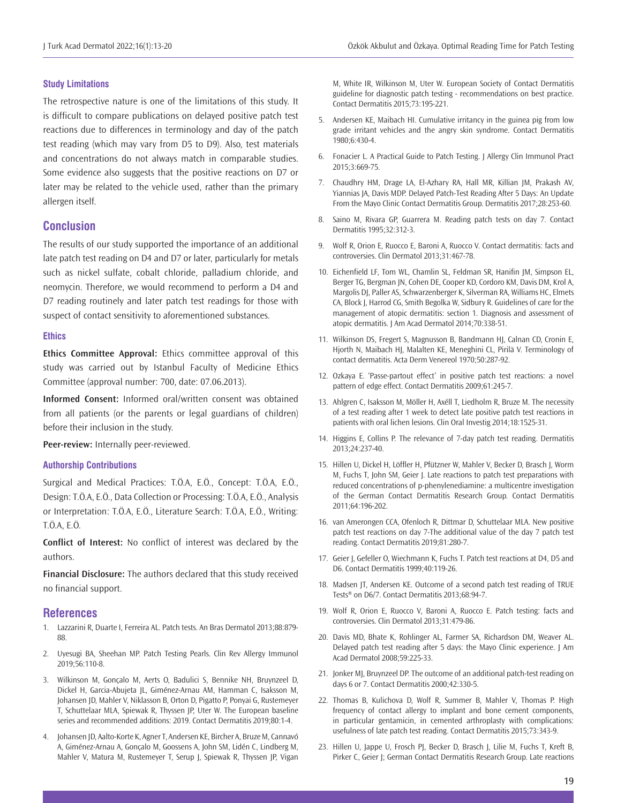## **Study Limitations**

The retrospective nature is one of the limitations of this study. It is difficult to compare publications on delayed positive patch test reactions due to differences in terminology and day of the patch test reading (which may vary from D5 to D9). Also, test materials and concentrations do not always match in comparable studies. Some evidence also suggests that the positive reactions on D7 or later may be related to the vehicle used, rather than the primary allergen itself.

# **Conclusion**

The results of our study supported the importance of an additional late patch test reading on D4 and D7 or later, particularly for metals such as nickel sulfate, cobalt chloride, palladium chloride, and neomycin. Therefore, we would recommend to perform a D4 and D7 reading routinely and later patch test readings for those with suspect of contact sensitivity to aforementioned substances.

#### **Ethics**

**Ethics Committee Approval:** Ethics committee approval of this study was carried out by Istanbul Faculty of Medicine Ethics Committee (approval number: 700, date: 07.06.2013).

**Informed Consent:** Informed oral/written consent was obtained from all patients (or the parents or legal guardians of children) before their inclusion in the study.

**Peer-review:** Internally peer-reviewed.

#### **Authorship Contributions**

Surgical and Medical Practices: T.Ö.A, E.Ö., Concept: T.Ö.A, E.Ö., Design: T.Ö.A, E.Ö., Data Collection or Processing: T.Ö.A, E.Ö., Analysis or Interpretation: T.Ö.A, E.Ö., Literature Search: T.Ö.A, E.Ö., Writing: T.Ö.A, E.Ö.

**Conflict of Interest:** No conflict of interest was declared by the authors.

**Financial Disclosure:** The authors declared that this study received no financial support.

## **References**

- 1. Lazzarini R, Duarte I, Ferreira AL. Patch tests. An Bras Dermatol 2013;88:879- 88.
- 2. Uyesugi BA, Sheehan MP. Patch Testing Pearls. Clin Rev Allergy Immunol 2019;56:110-8.
- 3. Wilkinson M, Gonçalo M, Aerts O, Badulici S, Bennike NH, Bruynzeel D, Dickel H, Garcia-Abujeta JL, Giménez-Arnau AM, Hamman C, Isaksson M, Johansen JD, Mahler V, Niklasson B, Orton D, Pigatto P, Ponyai G, Rustemeyer T, Schuttelaar MLA, Spiewak R, Thyssen JP, Uter W. The European baseline series and recommended additions: 2019. Contact Dermatitis 2019;80:1-4.
- 4. Johansen JD, Aalto-Korte K, Agner T, Andersen KE, Bircher A, Bruze M, Cannavó A, Giménez-Arnau A, Gonçalo M, Goossens A, John SM, Lidén C, Lindberg M, Mahler V, Matura M, Rustemeyer T, Serup J, Spiewak R, Thyssen JP, Vigan

M, White IR, Wilkinson M, Uter W. European Society of Contact Dermatitis guideline for diagnostic patch testing - recommendations on best practice. Contact Dermatitis 2015;73:195-221.

- 5. Andersen KE, Maibach HI. Cumulative irritancy in the guinea pig from low grade irritant vehicles and the angry skin syndrome. Contact Dermatitis 1980;6:430-4.
- 6. Fonacier L. A Practical Guide to Patch Testing. J Allergy Clin Immunol Pract 2015;3:669-75.
- 7. Chaudhry HM, Drage LA, El-Azhary RA, Hall MR, Killian JM, Prakash AV, Yiannias JA, Davis MDP. Delayed Patch-Test Reading After 5 Days: An Update From the Mayo Clinic Contact Dermatitis Group. Dermatitis 2017;28:253-60.
- 8. Saino M, Rivara GP, Guarrera M. Reading patch tests on day 7. Contact Dermatitis 1995;32:312-3.
- 9. Wolf R, Orion E, Ruocco E, Baroni A, Ruocco V. Contact dermatitis: facts and controversies. Clin Dermatol 2013;31:467-78.
- 10. Eichenfield LF, Tom WL, Chamlin SL, Feldman SR, Hanifin JM, Simpson EL, Berger TG, Bergman JN, Cohen DE, Cooper KD, Cordoro KM, Davis DM, Krol A, Margolis DJ, Paller AS, Schwarzenberger K, Silverman RA, Williams HC, Elmets CA, Block J, Harrod CG, Smith Begolka W, Sidbury R. Guidelines of care for the management of atopic dermatitis: section 1. Diagnosis and assessment of atopic dermatitis. J Am Acad Dermatol 2014;70:338-51.
- 11. Wilkinson DS, Fregert S, Magnusson B, Bandmann HJ, Calnan CD, Cronin E, Hjorth N, Maibach HJ, Malalten KE, Meneghini CL, Pirilä V. Terminology of contact dermatitis. Acta Derm Venereol 1970;50:287-92.
- 12. Ozkaya E. 'Passe-partout effect' in positive patch test reactions: a novel pattern of edge effect. Contact Dermatitis 2009;61:245-7.
- 13. Ahlgren C, Isaksson M, Möller H, Axéll T, Liedholm R, Bruze M. The necessity of a test reading after 1 week to detect late positive patch test reactions in patients with oral lichen lesions. Clin Oral Investig 2014;18:1525-31.
- 14. Higgins E, Collins P. The relevance of 7-day patch test reading. Dermatitis 2013;24:237-40.
- 15. Hillen U, Dickel H, Löffler H, Pfützner W, Mahler V, Becker D, Brasch J, Worm M, Fuchs T, John SM, Geier J. Late reactions to patch test preparations with reduced concentrations of p-phenylenediamine: a multicentre investigation of the German Contact Dermatitis Research Group. Contact Dermatitis 2011;64:196-202.
- 16. van Amerongen CCA, Ofenloch R, Dittmar D, Schuttelaar MLA. New positive patch test reactions on day 7-The additional value of the day 7 patch test reading. Contact Dermatitis 2019;81:280-7.
- 17. Geier J, Gefeller O, Wiechmann K, Fuchs T. Patch test reactions at D4, D5 and D6. Contact Dermatitis 1999;40:119-26.
- 18. Madsen JT, Andersen KE. Outcome of a second patch test reading of TRUE Tests® on D6/7. Contact Dermatitis 2013;68:94-7.
- 19. Wolf R, Orion E, Ruocco V, Baroni A, Ruocco E. Patch testing: facts and controversies. Clin Dermatol 2013;31:479-86.
- 20. Davis MD, Bhate K, Rohlinger AL, Farmer SA, Richardson DM, Weaver AL. Delayed patch test reading after 5 days: the Mayo Clinic experience. J Am Acad Dermatol 2008;59:225-33.
- 21. Jonker MJ, Bruynzeel DP. The outcome of an additional patch-test reading on days 6 or 7. Contact Dermatitis 2000;42:330-5.
- 22. Thomas B, Kulichova D, Wolf R, Summer B, Mahler V, Thomas P. High frequency of contact allergy to implant and bone cement components, in particular gentamicin, in cemented arthroplasty with complications: usefulness of late patch test reading. Contact Dermatitis 2015;73:343-9.
- 23. Hillen U, Jappe U, Frosch PJ, Becker D, Brasch J, Lilie M, Fuchs T, Kreft B, Pirker C, Geier J; German Contact Dermatitis Research Group. Late reactions